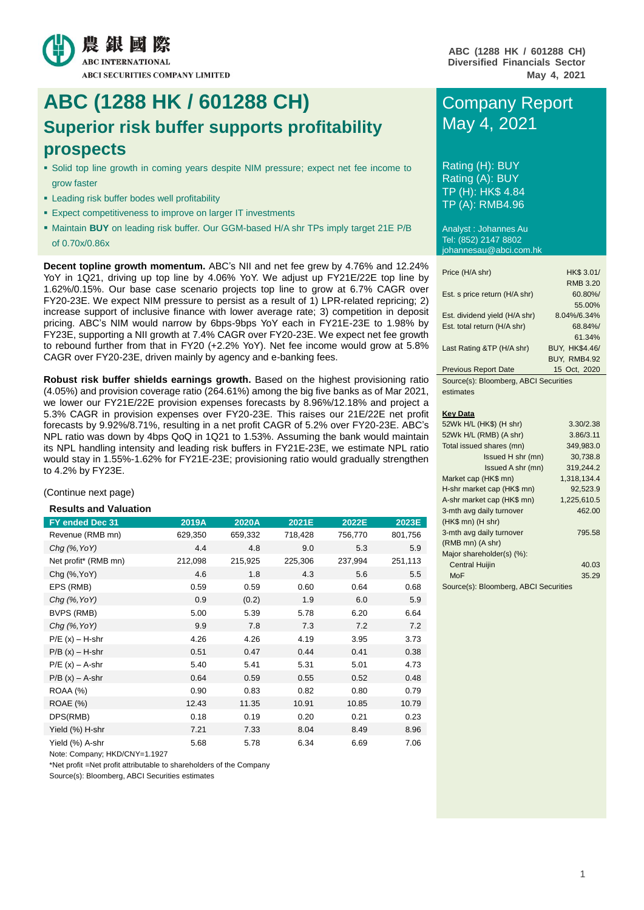

## **ABC (1288 HK / 601288 CH)** Company Report **Superior risk buffer supports profitability prospects**

- Solid top line growth in coming years despite NIM pressure; expect net fee income to grow faster
- **Example 1** Leading risk buffer bodes well profitability
- **Expect competitiveness to improve on larger IT investments**
- Maintain **BUY** on leading risk buffer. Our GGM-based H/A shr TPs imply target 21E P/B of 0.70x/0.86x

**Decent topline growth momentum.** ABC's NII and net fee grew by 4.76% and 12.24% YoY in 1Q21, driving up top line by 4.06% YoY. We adjust up FY21E/22E top line by 1.62%/0.15%. Our base case scenario projects top line to grow at 6.7% CAGR over FY20-23E. We expect NIM pressure to persist as a result of 1) LPR-related repricing; 2) increase support of inclusive finance with lower average rate; 3) competition in deposit pricing. ABC's NIM would narrow by 6bps-9bps YoY each in FY21E-23E to 1.98% by FY23E, supporting a NII growth at 7.4% CAGR over FY20-23E. We expect net fee growth to rebound further from that in FY20 (+2.2% YoY). Net fee income would grow at 5.8% CAGR over FY20-23E, driven mainly by agency and e-banking fees.

**Robust risk buffer shields earnings growth.** Based on the highest provisioning ratio (4.05%) and provision coverage ratio (264.61%) among the big five banks as of Mar 2021, we lower our FY21E/22E provision expenses forecasts by 8.96%/12.18% and project a 5.3% CAGR in provision expenses over FY20-23E. This raises our 21E/22E net profit forecasts by 9.92%/8.71%, resulting in a net profit CAGR of 5.2% over FY20-23E. ABC's NPL ratio was down by 4bps QoQ in 1Q21 to 1.53%. Assuming the bank would maintain its NPL handling intensity and leading risk buffers in FY21E-23E, we estimate NPL ratio would stay in 1.55%-1.62% for FY21E-23E; provisioning ratio would gradually strengthen to 4.2% by FY23E.

#### (Continue next page)

#### **Results and Valuation**

| FY ended Dec 31      | 2019A   | 2020A   | 2021E   | 2022E   | 2023E   |
|----------------------|---------|---------|---------|---------|---------|
| Revenue (RMB mn)     | 629,350 | 659,332 | 718,428 | 756,770 | 801,756 |
| $Chq$ (%, YoY)       | 4.4     | 4.8     | 9.0     | 5.3     | 5.9     |
| Net profit* (RMB mn) | 212,098 | 215,925 | 225,306 | 237,994 | 251,113 |
| Chg (%, YoY)         | 4.6     | 1.8     | 4.3     | 5.6     | 5.5     |
| EPS (RMB)            | 0.59    | 0.59    | 0.60    | 0.64    | 0.68    |
| $Chq$ (%, YoY)       | 0.9     | (0.2)   | 1.9     | 6.0     | 5.9     |
| BVPS (RMB)           | 5.00    | 5.39    | 5.78    | 6.20    | 6.64    |
| Chg (%, YoY)         | 9.9     | 7.8     | 7.3     | 7.2     | 7.2     |
| $P/E(x) - H-shr$     | 4.26    | 4.26    | 4.19    | 3.95    | 3.73    |
| $P/B(x) - H-shr$     | 0.51    | 0.47    | 0.44    | 0.41    | 0.38    |
| $P/E(x) - A-shr$     | 5.40    | 5.41    | 5.31    | 5.01    | 4.73    |
| $P/B(x) - A-shr$     | 0.64    | 0.59    | 0.55    | 0.52    | 0.48    |
| <b>ROAA (%)</b>      | 0.90    | 0.83    | 0.82    | 0.80    | 0.79    |
| ROAE (%)             | 12.43   | 11.35   | 10.91   | 10.85   | 10.79   |
| DPS(RMB)             | 0.18    | 0.19    | 0.20    | 0.21    | 0.23    |
| Yield (%) H-shr      | 7.21    | 7.33    | 8.04    | 8.49    | 8.96    |
| Yield (%) A-shr      | 5.68    | 5.78    | 6.34    | 6.69    | 7.06    |

Note: Company; HKD/CNY=1.1927

\*Net profit =Net profit attributable to shareholders of the Company

Source(s): Bloomberg, ABCI Securities estimates

# May 4, 2021

Rating (H): BUY Rating (A): BUY TP (H): HK\$ 4.84 TP (A): RMB4.96

Analyst : Johannes Au Tel: (852) 2147 8802 johannesau@abci.com.hk

| Price (H/A shr)                      | HK\$ 3.01/            |
|--------------------------------------|-----------------------|
|                                      | <b>RMB 3.20</b>       |
| Est. s price return (H/A shr)        | 60.80%/               |
|                                      | 55.00%                |
| Est. dividend yield (H/A shr)        | 8.04%/6.34%           |
| Est. total return (H/A shr)          | 68.84%/               |
|                                      | 61.34%                |
| Last Rating &TP (H/A shr)            | <b>BUY, HK\$4.46/</b> |
|                                      | <b>BUY. RMB4.92</b>   |
| <b>Previous Report Date</b>          | 15 Oct, 2020          |
| Source(s): Bloomberg ABCI Securities |                       |

ce(s): Bloomberg, ABCI S estimates

#### **Key Data**

| 52Wk H/L (HK\$) (H shr)               | 3.30/2.38   |
|---------------------------------------|-------------|
|                                       |             |
| 52Wk H/L (RMB) (A shr)                | 3.86/3.11   |
| Total issued shares (mn)              | 349,983.0   |
| Issued H shr (mn)                     | 30,738.8    |
| Issued A shr (mn)                     | 319.244.2   |
| Market cap (HK\$ mn)                  | 1,318,134.4 |
| H-shr market cap (HK\$ mn)            | 92.523.9    |
| A-shr market cap (HK\$ mn)            | 1,225,610.5 |
| 3-mth avg daily turnover              | 462.00      |
| $(HK$$ mn) $(H$ shr)                  |             |
| 3-mth avg daily turnover              | 795.58      |
| $(RMB$ mn $)(A$ shr $)$               |             |
| Major shareholder(s) (%):             |             |
| <b>Central Huijin</b>                 | 40.03       |
| MoF                                   | 35.29       |
| Source(s): Bloomberg, ABCI Securities |             |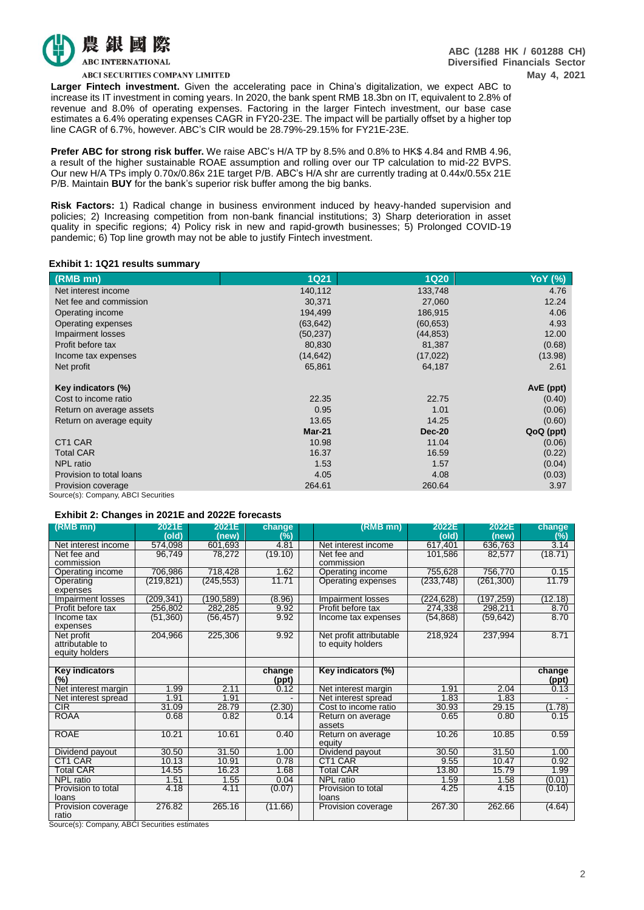

**ABC (1288 HK / 601288 CH) Diversified Financials Sector May 4, 2021**

**ABCI SECURITIES COMPANY LIMITED** 

**Larger Fintech investment.** Given the accelerating pace in China's digitalization, we expect ABC to increase its IT investment in coming years. In 2020, the bank spent RMB 18.3bn on IT, equivalent to 2.8% of revenue and 8.0% of operating expenses. Factoring in the larger Fintech investment, our base case estimates a 6.4% operating expenses CAGR in FY20-23E. The impact will be partially offset by a higher top line CAGR of 6.7%, however. ABC's CIR would be 28.79%-29.15% for FY21E-23E.

**Prefer ABC for strong risk buffer.** We raise ABC's H/A TP by 8.5% and 0.8% to HK\$ 4.84 and RMB 4.96, a result of the higher sustainable ROAE assumption and rolling over our TP calculation to mid-22 BVPS. Our new H/A TPs imply 0.70x/0.86x 21E target P/B. ABC's H/A shr are currently trading at 0.44x/0.55x 21E P/B. Maintain **BUY** for the bank's superior risk buffer among the big banks.

**Risk Factors:** 1) Radical change in business environment induced by heavy-handed supervision and policies; 2) Increasing competition from non-bank financial institutions; 3) Sharp deterioration in asset quality in specific regions; 4) Policy risk in new and rapid-growth businesses; 5) Prolonged COVID-19 pandemic; 6) Top line growth may not be able to justify Fintech investment.

#### **Exhibit 1: 1Q21 results summary**

| (RMB mn)                 | <b>1Q21</b> | <b>1Q20</b>   | <b>YoY</b> (%) |
|--------------------------|-------------|---------------|----------------|
| Net interest income      | 140,112     | 133,748       | 4.76           |
| Net fee and commission   | 30,371      | 27,060        | 12.24          |
| Operating income         | 194,499     | 186,915       | 4.06           |
| Operating expenses       | (63, 642)   | (60, 653)     | 4.93           |
| Impairment losses        | (50, 237)   | (44, 853)     | 12.00          |
| Profit before tax        | 80,830      | 81,387        | (0.68)         |
| Income tax expenses      | (14,642)    | (17, 022)     | (13.98)        |
| Net profit               | 65,861      | 64,187        | 2.61           |
| Key indicators (%)       |             |               | AvE (ppt)      |
| Cost to income ratio     | 22.35       | 22.75         | (0.40)         |
| Return on average assets | 0.95        | 1.01          | (0.06)         |
| Return on average equity | 13.65       | 14.25         | (0.60)         |
|                          | $Mar-21$    | <b>Dec-20</b> | QoQ (ppt)      |
| CT <sub>1</sub> CAR      | 10.98       | 11.04         | (0.06)         |
| <b>Total CAR</b>         | 16.37       | 16.59         | (0.22)         |
| <b>NPL</b> ratio         | 1.53        | 1.57          | (0.04)         |
| Provision to total loans | 4.05        | 4.08          | (0.03)         |
| Provision coverage       | 264.61      | 260.64        | 3.97           |

Source(s): Company, ABCI Securities

#### **Exhibit 2: Changes in 2021E and 2022E forecasts**

| $(RMB$ mn)            | 2021E      | 2021E      | change  | (RMB mn)                | 2022E      | 2022E      | change  |
|-----------------------|------------|------------|---------|-------------------------|------------|------------|---------|
|                       | (old)      | (new)      | (%)     |                         | (old)      | (new)      | (%)     |
| Net interest income   | 574,098    | 601,693    | 4.81    | Net interest income     | 617,401    | 636,763    | 3.14    |
| Net fee and           | 96.749     | 78,272     | (19.10) | Net fee and             | 101,586    | 82,577     | (18.71) |
| commission            |            |            |         | commission              |            |            |         |
| Operating income      | 706,986    | 718,428    | 1.62    | Operating income        | 755.628    | 756,770    | 0.15    |
| Operating             | (219, 821) | (245, 553) | 11.71   | Operating expenses      | (233, 748) | (261, 300) | 11.79   |
| expenses              |            |            |         |                         |            |            |         |
| Impairment losses     | (209, 341) | (190, 589) | (8.96)  | Impairment losses       | (224, 628) | (197, 259) | (12.18) |
| Profit before tax     | 256,802    | 282,285    | 9.92    | Profit before tax       | 274,338    | 298,211    | 8.70    |
| Income tax            | (51,360)   | (56, 457)  | 9.92    | Income tax expenses     | (54, 868)  | (59, 642)  | 8.70    |
| expenses              |            |            |         |                         |            |            |         |
| Net profit            | 204,966    | 225,306    | 9.92    | Net profit attributable | 218,924    | 237,994    | 8.71    |
| attributable to       |            |            |         | to equity holders       |            |            |         |
| equity holders        |            |            |         |                         |            |            |         |
|                       |            |            |         |                         |            |            |         |
| <b>Key indicators</b> |            |            | change  | Key indicators (%)      |            |            | change  |
| $(\%)$                |            |            | (ppt)   |                         |            |            | (ppt)   |
| Net interest margin   | 1.99       | 2.11       | 0.12    | Net interest margin     | 1.91       | 2.04       | 0.13    |
| Net interest spread   | 1.91       | 1.91       |         | Net interest spread     | 1.83       | 1.83       |         |
| CIR                   | 31.09      | 28.79      | (2.30)  | Cost to income ratio    | 30.93      | 29.15      | (1.78)  |
| <b>ROAA</b>           | 0.68       | 0.82       | 0.14    | Return on average       | 0.65       | 0.80       | 0.15    |
|                       |            |            |         | assets                  |            |            |         |
| <b>ROAE</b>           | 10.21      | 10.61      | 0.40    | Return on average       | 10.26      | 10.85      | 0.59    |
|                       |            |            |         | equity                  |            |            |         |
| Dividend payout       | 30.50      | 31.50      | 1.00    | Dividend payout         | 30.50      | 31.50      | 1.00    |
| CT1 CAR               | 10.13      | 10.91      | 0.78    | CT1 CAR                 | 9.55       | 10.47      | 0.92    |
| <b>Total CAR</b>      | 14.55      | 16.23      | 1.68    | <b>Total CAR</b>        | 13.80      | 15.79      | 1.99    |
| <b>NPL</b> ratio      | 1.51       | 1.55       | 0.04    | <b>NPL</b> ratio        | 1.59       | 1.58       | (0.01)  |
| Provision to total    | 4.18       | 4.11       | (0.07)  | Provision to total      | 4.25       | 4.15       | (0.10)  |
| loans                 |            |            |         | loans                   |            |            |         |
| Provision coverage    | 276.82     | 265.16     | (11.66) | Provision coverage      | 267.30     | 262.66     | (4.64)  |
| ratio                 |            |            |         |                         |            |            |         |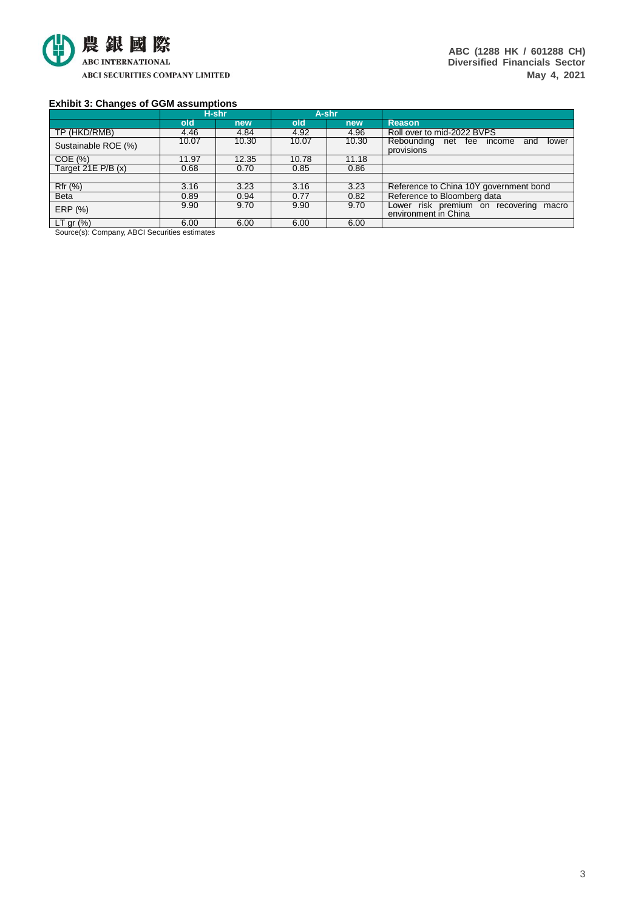

**ABC (1288 HK / 601288 CH) Diversified Financials Sector May 4, 2021**

#### **Exhibit 3: Changes of GGM assumptions**

|                                                            | H-shr                             |       |       | A-shr |                                                                   |
|------------------------------------------------------------|-----------------------------------|-------|-------|-------|-------------------------------------------------------------------|
|                                                            | old                               | new   | old   | new   | <b>Reason</b>                                                     |
| TP (HKD/RMB)                                               | 4.46                              | 4.84  | 4.92  | 4.96  | Roll over to mid-2022 BVPS                                        |
| Sustainable ROE (%)                                        | 10.07                             | 10.30 | 10.07 | 10.30 | Rebounding net fee<br>income<br>lower<br>and<br>provisions        |
| COE(%)                                                     | 11.97                             | 12.35 | 10.78 | 11.18 |                                                                   |
| Target 21E P/B (x)                                         | 0.68                              | 0.70  | 0.85  | 0.86  |                                                                   |
|                                                            |                                   |       |       |       |                                                                   |
| Rfr (%)                                                    | 3.16                              | 3.23  | 3.16  | 3.23  | Reference to China 10Y government bond                            |
| <b>Beta</b>                                                | 0.89                              | 0.94  | 0.77  | 0.82  | Reference to Bloomberg data                                       |
| ERP (%)                                                    | 9.90                              | 9.70  | 9.90  | 9.70  | Lower risk premium on recovering<br>macro<br>environment in China |
| $LT$ gr $(\%)$<br>$\sim$<br>$\sim$ $\sim$ $\sim$<br>$\sim$ | 6.00<br>$\cdots$<br>$\sim$ $\sim$ | 6.00  | 6.00  | 6.00  |                                                                   |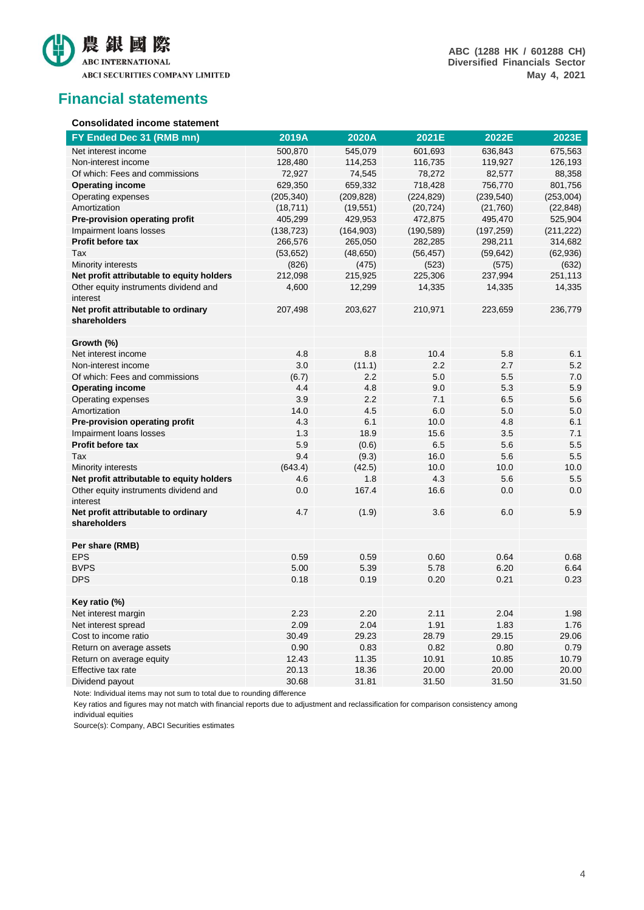

**ABC (1288 HK / 601288 CH) Diversified Financials Sector May 4, 2021**

### **Financial statements**

#### **Consolidated income statement**

| FY Ended Dec 31 (RMB mn)                            | 2019A      | 2020A      | 2021E      | 2022E      | 2023E      |
|-----------------------------------------------------|------------|------------|------------|------------|------------|
| Net interest income                                 | 500,870    | 545,079    | 601,693    | 636,843    | 675,563    |
| Non-interest income                                 | 128,480    | 114,253    | 116,735    | 119,927    | 126,193    |
| Of which: Fees and commissions                      | 72,927     | 74,545     | 78,272     | 82,577     | 88,358     |
| <b>Operating income</b>                             | 629,350    | 659,332    | 718,428    | 756,770    | 801,756    |
| Operating expenses                                  | (205, 340) | (209, 828) | (224, 829) | (239, 540) | (253,004)  |
| Amortization                                        | (18, 711)  | (19, 551)  | (20, 724)  | (21,760)   | (22, 848)  |
| Pre-provision operating profit                      | 405,299    | 429,953    | 472,875    | 495,470    | 525,904    |
| Impairment loans losses                             | (138, 723) | (164, 903) | (190, 589) | (197, 259) | (211, 222) |
| <b>Profit before tax</b>                            | 266,576    | 265,050    | 282,285    | 298,211    | 314,682    |
| Tax                                                 | (53, 652)  | (48, 650)  | (56, 457)  | (59, 642)  | (62, 936)  |
| Minority interests                                  | (826)      | (475)      | (523)      | (575)      | (632)      |
| Net profit attributable to equity holders           | 212,098    | 215,925    | 225,306    | 237,994    | 251,113    |
| Other equity instruments dividend and<br>interest   | 4,600      | 12,299     | 14,335     | 14,335     | 14,335     |
| Net profit attributable to ordinary                 | 207,498    | 203,627    | 210,971    | 223,659    | 236,779    |
| shareholders                                        |            |            |            |            |            |
|                                                     |            |            |            |            |            |
| Growth (%)                                          |            |            |            |            |            |
| Net interest income                                 | 4.8        | 8.8        | 10.4       | 5.8        | 6.1        |
| Non-interest income                                 | 3.0        | (11.1)     | 2.2        | 2.7        | 5.2        |
| Of which: Fees and commissions                      | (6.7)      | 2.2        | 5.0        | 5.5        | 7.0        |
| <b>Operating income</b>                             | 4.4        | 4.8        | 9.0        | 5.3        | 5.9        |
| Operating expenses                                  | 3.9        | 2.2        | 7.1        | 6.5        | 5.6        |
| Amortization                                        | 14.0       | 4.5        | 6.0        | 5.0        | 5.0        |
| Pre-provision operating profit                      | 4.3        | 6.1        | 10.0       | 4.8        | 6.1        |
| Impairment loans losses                             | 1.3        | 18.9       | 15.6       | 3.5        | 7.1        |
| Profit before tax                                   | 5.9        | (0.6)      | 6.5        | 5.6        | 5.5        |
| Tax                                                 | 9.4        | (9.3)      | 16.0       | 5.6        | 5.5        |
| Minority interests                                  | (643.4)    | (42.5)     | 10.0       | 10.0       | 10.0       |
| Net profit attributable to equity holders           | 4.6        | 1.8        | 4.3        | 5.6        | 5.5        |
| Other equity instruments dividend and<br>interest   | 0.0        | 167.4      | 16.6       | 0.0        | 0.0        |
| Net profit attributable to ordinary<br>shareholders | 4.7        | (1.9)      | 3.6        | 6.0        | 5.9        |
|                                                     |            |            |            |            |            |
| Per share (RMB)                                     |            |            |            |            |            |
| <b>EPS</b><br><b>BVPS</b>                           | 0.59       | 0.59       | 0.60       | 0.64       | 0.68       |
|                                                     | 5.00       | 5.39       | 5.78       | 6.20       | 6.64       |
| <b>DPS</b>                                          | 0.18       | 0.19       | 0.20       | 0.21       | 0.23       |
| Key ratio (%)                                       |            |            |            |            |            |
| Net interest margin                                 | 2.23       | 2.20       | 2.11       | 2.04       | 1.98       |
| Net interest spread                                 | 2.09       | 2.04       | 1.91       | 1.83       | 1.76       |
| Cost to income ratio                                | 30.49      | 29.23      | 28.79      | 29.15      | 29.06      |
| Return on average assets                            | 0.90       | 0.83       | 0.82       | 0.80       | 0.79       |
| Return on average equity                            | 12.43      | 11.35      | 10.91      | 10.85      | 10.79      |
| Effective tax rate                                  | 20.13      | 18.36      | 20.00      | 20.00      | 20.00      |
| Dividend payout                                     | 30.68      | 31.81      | 31.50      | 31.50      | 31.50      |

Note: Individual items may not sum to total due to rounding difference

Key ratios and figures may not match with financial reports due to adjustment and reclassification for comparison consistency among individual equities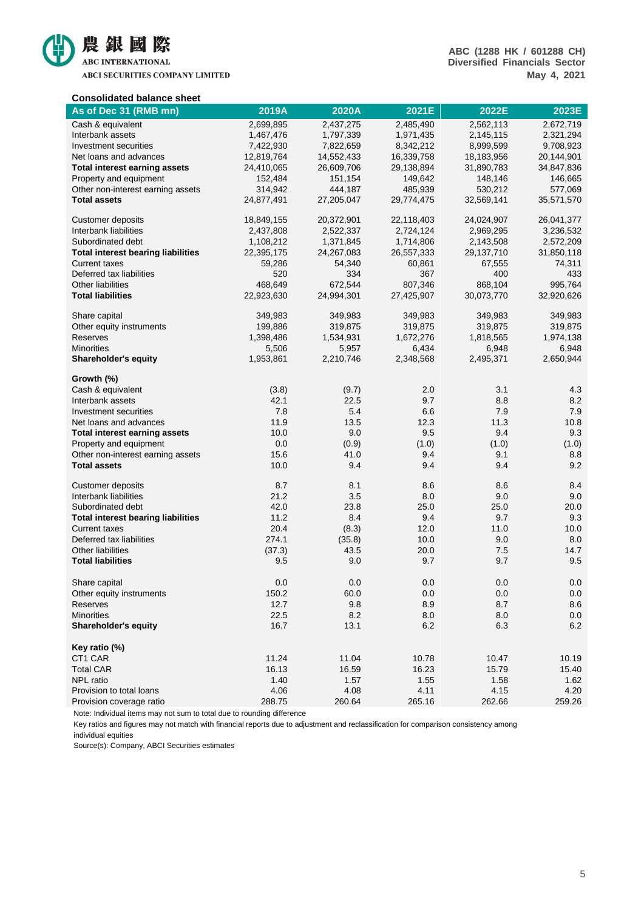

ABCI SECURITIES COMPANY LIMITED

| <b>Consolidated balance sheet</b>         |            |            |            |            |            |
|-------------------------------------------|------------|------------|------------|------------|------------|
| As of Dec 31 (RMB mn)                     | 2019A      | 2020A      | 2021E      | 2022E      | 2023E      |
| Cash & equivalent                         | 2,699,895  | 2,437,275  | 2,485,490  | 2,562,113  | 2,672,719  |
| Interbank assets                          | 1,467,476  | 1,797,339  | 1,971,435  | 2,145,115  | 2,321,294  |
| Investment securities                     | 7,422,930  | 7,822,659  | 8,342,212  | 8,999,599  | 9,708,923  |
| Net loans and advances                    | 12,819,764 | 14,552,433 | 16,339,758 | 18,183,956 | 20,144,901 |
| <b>Total interest earning assets</b>      | 24,410,065 | 26,609,706 | 29,138,894 | 31,890,783 | 34,847,836 |
| Property and equipment                    | 152,484    | 151,154    | 149,642    | 148,146    | 146,665    |
| Other non-interest earning assets         | 314,942    | 444,187    | 485,939    | 530,212    | 577,069    |
| <b>Total assets</b>                       | 24,877,491 | 27,205,047 | 29,774,475 | 32,569,141 | 35,571,570 |
| <b>Customer deposits</b>                  | 18,849,155 | 20,372,901 | 22,118,403 | 24,024,907 | 26,041,377 |
| Interbank liabilities                     | 2,437,808  | 2,522,337  | 2,724,124  | 2,969,295  | 3,236,532  |
| Subordinated debt                         | 1,108,212  | 1,371,845  | 1,714,806  | 2,143,508  | 2,572,209  |
| <b>Total interest bearing liabilities</b> | 22,395,175 | 24,267,083 | 26,557,333 | 29,137,710 | 31,850,118 |
| <b>Current taxes</b>                      | 59,286     | 54,340     | 60,861     | 67,555     | 74,311     |
| Deferred tax liabilities                  | 520        | 334        | 367        | 400        | 433        |
| Other liabilities                         | 468,649    | 672,544    | 807,346    | 868,104    | 995,764    |
| <b>Total liabilities</b>                  | 22,923,630 | 24,994,301 | 27,425,907 | 30,073,770 | 32,920,626 |
| Share capital                             | 349,983    | 349,983    | 349,983    | 349,983    | 349,983    |
| Other equity instruments                  | 199,886    | 319,875    | 319,875    | 319,875    | 319,875    |
| Reserves                                  | 1,398,486  | 1,534,931  | 1,672,276  | 1,818,565  | 1,974,138  |
| <b>Minorities</b>                         | 5,506      | 5,957      | 6,434      | 6,948      | 6,948      |
| <b>Shareholder's equity</b>               | 1,953,861  | 2,210,746  | 2,348,568  | 2,495,371  | 2,650,944  |
| Growth (%)                                |            |            |            |            |            |
| Cash & equivalent                         | (3.8)      | (9.7)      | 2.0        | 3.1        | 4.3        |
| Interbank assets                          | 42.1       | 22.5       | 9.7        | 8.8        | 8.2        |
| Investment securities                     | 7.8        | 5.4        | 6.6        | 7.9        | 7.9        |
| Net loans and advances                    | 11.9       | 13.5       | 12.3       | 11.3       | 10.8       |
| <b>Total interest earning assets</b>      | 10.0       | 9.0        | 9.5        | 9.4        | 9.3        |
| Property and equipment                    | 0.0        | (0.9)      | (1.0)      | (1.0)      | (1.0)      |
| Other non-interest earning assets         | 15.6       | 41.0       | 9.4        | 9.1        | 8.8        |
| <b>Total assets</b>                       | 10.0       | 9.4        | 9.4        | 9.4        | 9.2        |
| <b>Customer deposits</b>                  | 8.7        | 8.1        | 8.6        | 8.6        | 8.4        |
| Interbank liabilities                     | 21.2       | 3.5        | 8.0        | 9.0        | 9.0        |
| Subordinated debt                         | 42.0       | 23.8       | 25.0       | 25.0       | 20.0       |
| <b>Total interest bearing liabilities</b> | 11.2       | 8.4        | 9.4        | 9.7        | 9.3        |
| <b>Current taxes</b>                      | 20.4       | (8.3)      | 12.0       | 11.0       | 10.0       |
| Deferred tax liabilities                  | 274.1      | (35.8)     | 10.0       | 9.0        | 8.0        |
| Other liabilities                         | (37.3)     | 43.5       | 20.0       | 7.5        | 14.7       |
| <b>Total liabilities</b>                  | 9.5        | 9.0        | 9.7        | 9.7        | 9.5        |
| Share capital                             | 0.0        | $0.0\,$    | 0.0        | 0.0        | 0.0        |
| Other equity instruments                  | 150.2      | 60.0       | 0.0        | 0.0        | 0.0        |
| Reserves                                  | 12.7       | 9.8        | 8.9        | 8.7        | 8.6        |
| <b>Minorities</b>                         | 22.5       | 8.2        | 8.0        | 8.0        | 0.0        |
| Shareholder's equity                      | 16.7       | 13.1       | $6.2\,$    | 6.3        | 6.2        |
| Key ratio (%)                             |            |            |            |            |            |
| CT1 CAR                                   | 11.24      | 11.04      | 10.78      | 10.47      | 10.19      |
| <b>Total CAR</b>                          | 16.13      | 16.59      | 16.23      | 15.79      | 15.40      |
| NPL ratio                                 | 1.40       | 1.57       | 1.55       | 1.58       | 1.62       |
| Provision to total loans                  | 4.06       | 4.08       | 4.11       | 4.15       | 4.20       |
| Provision coverage ratio                  | 288.75     | 260.64     | 265.16     | 262.66     | 259.26     |

Note: Individual items may not sum to total due to rounding difference

Key ratios and figures may not match with financial reports due to adjustment and reclassification for comparison consistency among individual equities